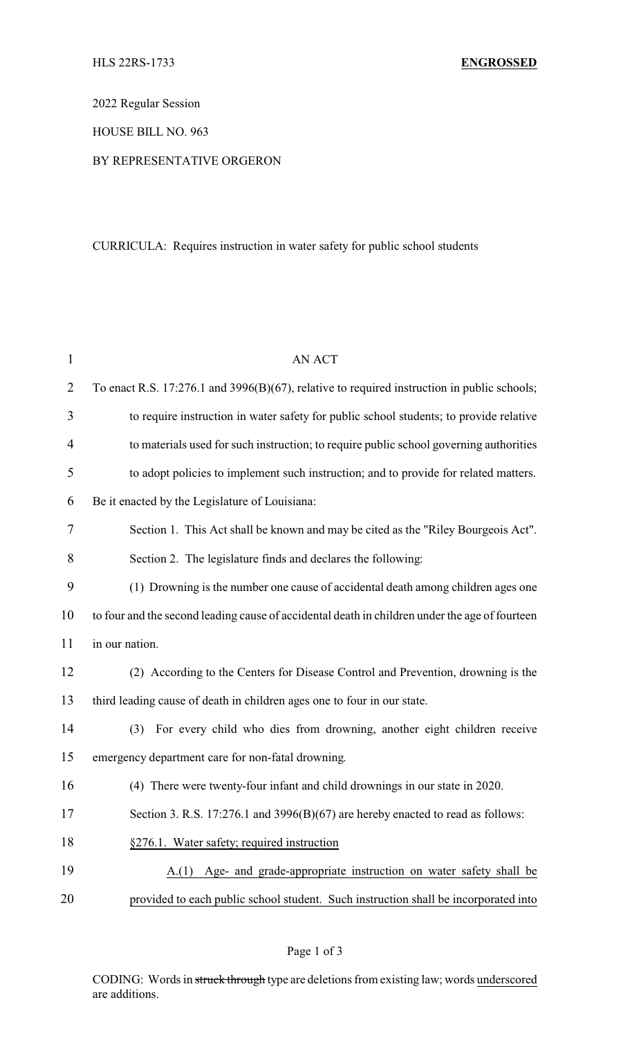2022 Regular Session

HOUSE BILL NO. 963

## BY REPRESENTATIVE ORGERON

## CURRICULA: Requires instruction in water safety for public school students

| $\mathbf{1}$   | <b>AN ACT</b>                                                                                  |
|----------------|------------------------------------------------------------------------------------------------|
| $\overline{2}$ | To enact R.S. 17:276.1 and 3996(B)(67), relative to required instruction in public schools;    |
| 3              | to require instruction in water safety for public school students; to provide relative         |
| $\overline{4}$ | to materials used for such instruction; to require public school governing authorities         |
| 5              | to adopt policies to implement such instruction; and to provide for related matters.           |
| 6              | Be it enacted by the Legislature of Louisiana:                                                 |
| 7              | Section 1. This Act shall be known and may be cited as the "Riley Bourgeois Act".              |
| 8              | Section 2. The legislature finds and declares the following:                                   |
| 9              | (1) Drowning is the number one cause of accidental death among children ages one               |
| 10             | to four and the second leading cause of accidental death in children under the age of fourteen |
| 11             | in our nation.                                                                                 |
| 12             | (2) According to the Centers for Disease Control and Prevention, drowning is the               |
| 13             | third leading cause of death in children ages one to four in our state.                        |
| 14             | For every child who dies from drowning, another eight children receive<br>(3)                  |
| 15             | emergency department care for non-fatal drowning.                                              |
| 16             | (4) There were twenty-four infant and child drownings in our state in 2020.                    |
| 17             | Section 3. R.S. 17:276.1 and 3996(B)(67) are hereby enacted to read as follows:                |
| 18             | §276.1. Water safety; required instruction                                                     |
| 19             | Age- and grade-appropriate instruction on water safety shall be<br>A(1)                        |
| 20             | provided to each public school student. Such instruction shall be incorporated into            |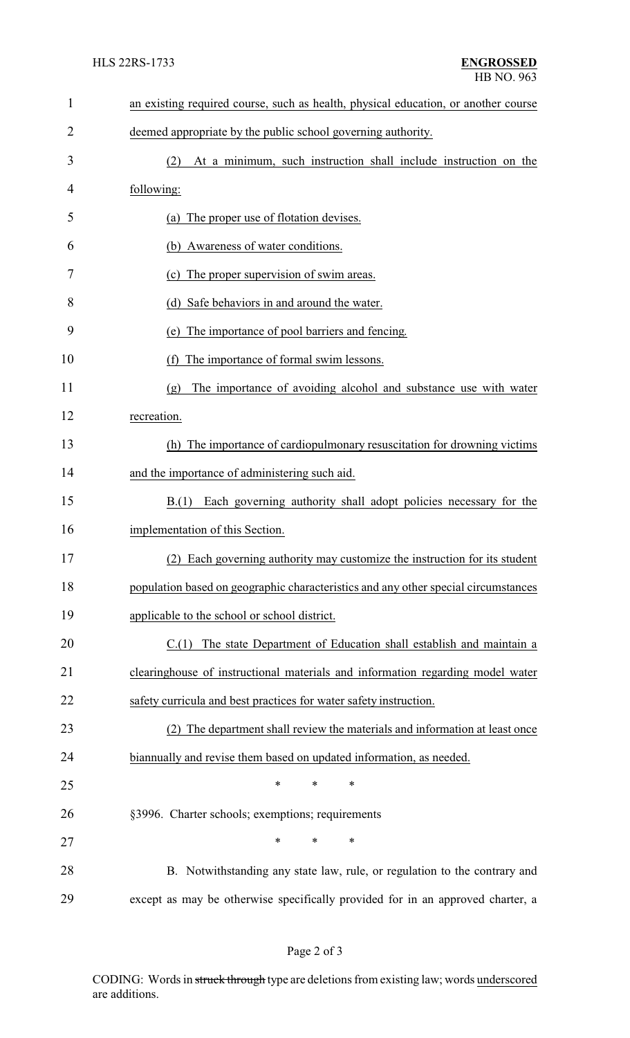| $\mathbf{1}$ | an existing required course, such as health, physical education, or another course |
|--------------|------------------------------------------------------------------------------------|
| 2            | deemed appropriate by the public school governing authority.                       |
| 3            | At a minimum, such instruction shall include instruction on the<br>(2)             |
| 4            | following:                                                                         |
| 5            | (a) The proper use of flotation devises.                                           |
| 6            | (b) Awareness of water conditions.                                                 |
| 7            | The proper supervision of swim areas.<br>(c)                                       |
| 8            | (d) Safe behaviors in and around the water.                                        |
| 9            | The importance of pool barriers and fencing.<br>(e)                                |
| 10           | The importance of formal swim lessons.<br>(f)                                      |
| 11           | The importance of avoiding alcohol and substance use with water<br>(g)             |
| 12           | recreation.                                                                        |
| 13           | (h) The importance of cardiopulmonary resuscitation for drowning victims           |
| 14           | and the importance of administering such aid.                                      |
| 15           | B.(1) Each governing authority shall adopt policies necessary for the              |
| 16           | implementation of this Section.                                                    |
| 17           | (2) Each governing authority may customize the instruction for its student         |
| 18           | population based on geographic characteristics and any other special circumstances |
| 19           | applicable to the school or school district.                                       |
| 20           | C.(1) The state Department of Education shall establish and maintain a             |
| 21           | clearinghouse of instructional materials and information regarding model water     |
| 22           | safety curricula and best practices for water safety instruction.                  |
| 23           | (2) The department shall review the materials and information at least once        |
| 24           | biannually and revise them based on updated information, as needed.                |
| 25           | ∗<br>*<br>∗                                                                        |
| 26           | §3996. Charter schools; exemptions; requirements                                   |
| 27           | $\ast$<br>$\ast$<br>*                                                              |
| 28           | B. Notwithstanding any state law, rule, or regulation to the contrary and          |
| 29           | except as may be otherwise specifically provided for in an approved charter, a     |